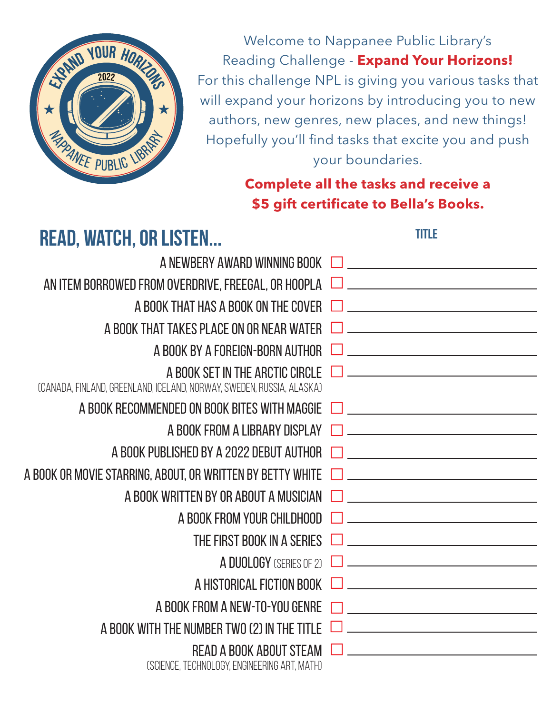

Welcome to Nappanee Public Library's Reading Challenge - **Expand Your Horizons!**  For this challenge NPL is giving you various tasks that will expand your horizons by introducing you to new authors, new genres, new places, and new things! Hopefully you'll find tasks that excite you and push your boundaries.

## **Complete all the tasks and receive a \$5 gift certificate to Bella's Books.**

**Title**

 **Read, watch, or listen...**  A NEWBERY AWARD WINNING BOOK | **CONFIDENTIAL CONTROL** AN ITEM BORROWED FROM OVERDRIVE, FREEGAL, OR HOOPLA  $\Box$  \_\_\_\_\_\_\_\_\_\_\_\_\_\_\_\_\_\_\_\_\_\_\_\_ A BOOK THAT HAS A BOOK ON THE COVER  $\Box$ A BOOK THAT TAKES PLACE ON OR NEAR WATER  $\Box$ A BOOK BY A FOREIGN-BORN AUTHOR  $\Box$ A BOOK SET IN THE ARCTIC CIRCLE  $\Box$ (Canada, Finland, Greenland, Iceland, Norway, Sweden, Russia, Alaska) A BOOK RECOMMENDED ON BOOK BITES WITH MAGGIE  $\Box$ A BOOK FROM A LIBRARY DISPLAY  $\Box$ A BOOK PUBLISHED BY A 2022 DEBUT AUTHOR  $\Box$ A book or movie starring, about, or written by Betty white A BOOK WRITTEN BY OR ABOUT A MUSICIAN <u> 1989 - Johann Harry Barn, mars ar breist fan de Fryske kommunent fan de Fryske kommunent fan de Fryske kommun</u> A BOOK FROM YOUR CHILDHOOD THE FIRST BOOK IN A SERIES  $\Box$ A DUOLOGY (SERIES OF 2)  $\Box$ A Historical fiction book A book from a new-to-you genre <u> 1980 - Johann Barn, fransk politik (</u> A BOOK WITH THE NUMBER TWO (2) IN THE TITLE  $\Box$  \_\_\_\_\_\_\_\_\_\_\_\_\_\_\_\_\_\_\_\_\_\_\_\_\_\_\_\_\_\_\_\_ READ A BOOK ABOUT STEAM  $\Box$ (science, technology, engineering art, math)